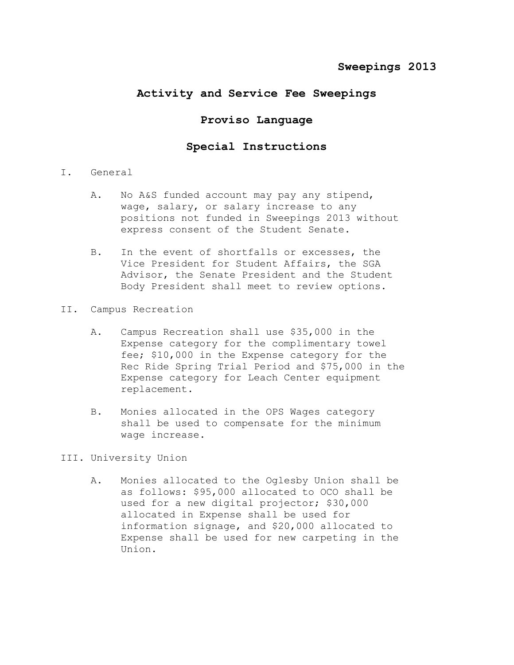## **Activity and Service Fee Sweepings**

## **Proviso Language**

## **Special Instructions**

- I. General
	- A. No A&S funded account may pay any stipend, wage, salary, or salary increase to any positions not funded in Sweepings 2013 without express consent of the Student Senate.
	- B. In the event of shortfalls or excesses, the Vice President for Student Affairs, the SGA Advisor, the Senate President and the Student Body President shall meet to review options.
- II. Campus Recreation
	- A. Campus Recreation shall use \$35,000 in the Expense category for the complimentary towel fee; \$10,000 in the Expense category for the Rec Ride Spring Trial Period and \$75,000 in the Expense category for Leach Center equipment replacement.
	- B. Monies allocated in the OPS Wages category shall be used to compensate for the minimum wage increase.

## III. University Union

A. Monies allocated to the Oglesby Union shall be as follows: \$95,000 allocated to OCO shall be used for a new digital projector; \$30,000 allocated in Expense shall be used for information signage, and \$20,000 allocated to Expense shall be used for new carpeting in the Union.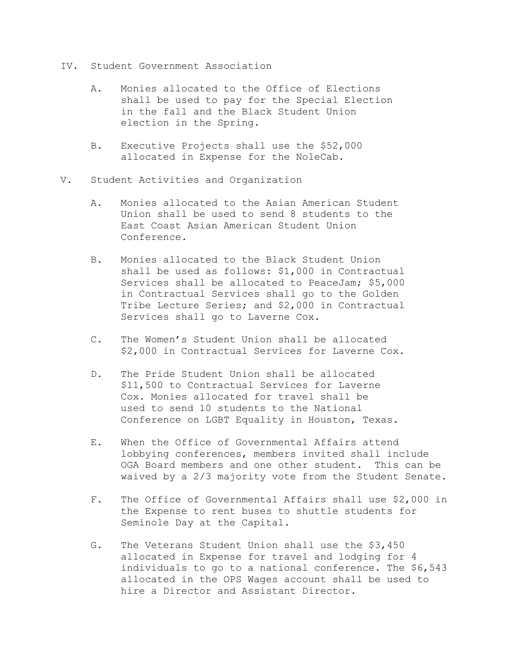- IV. Student Government Association
	- A. Monies allocated to the Office of Elections shall be used to pay for the Special Election in the fall and the Black Student Union election in the Spring.
	- B. Executive Projects shall use the \$52,000 allocated in Expense for the NoleCab.
- V. Student Activities and Organization
	- A. Monies allocated to the Asian American Student Union shall be used to send 8 students to the East Coast Asian American Student Union Conference.
	- B. Monies allocated to the Black Student Union shall be used as follows: \$1,000 in Contractual Services shall be allocated to PeaceJam; \$5,000 in Contractual Services shall go to the Golden Tribe Lecture Series; and \$2,000 in Contractual Services shall go to Laverne Cox.
	- C. The Women's Student Union shall be allocated \$2,000 in Contractual Services for Laverne Cox.
	- D. The Pride Student Union shall be allocated \$11,500 to Contractual Services for Laverne Cox. Monies allocated for travel shall be used to send 10 students to the National Conference on LGBT Equality in Houston, Texas.
	- E. When the Office of Governmental Affairs attend lobbying conferences, members invited shall include OGA Board members and one other student. This can be waived by a 2/3 majority vote from the Student Senate.
	- F. The Office of Governmental Affairs shall use \$2,000 in the Expense to rent buses to shuttle students for Seminole Day at the Capital.
	- G. The Veterans Student Union shall use the \$3,450 allocated in Expense for travel and lodging for 4 individuals to go to a national conference. The \$6,543 allocated in the OPS Wages account shall be used to hire a Director and Assistant Director.